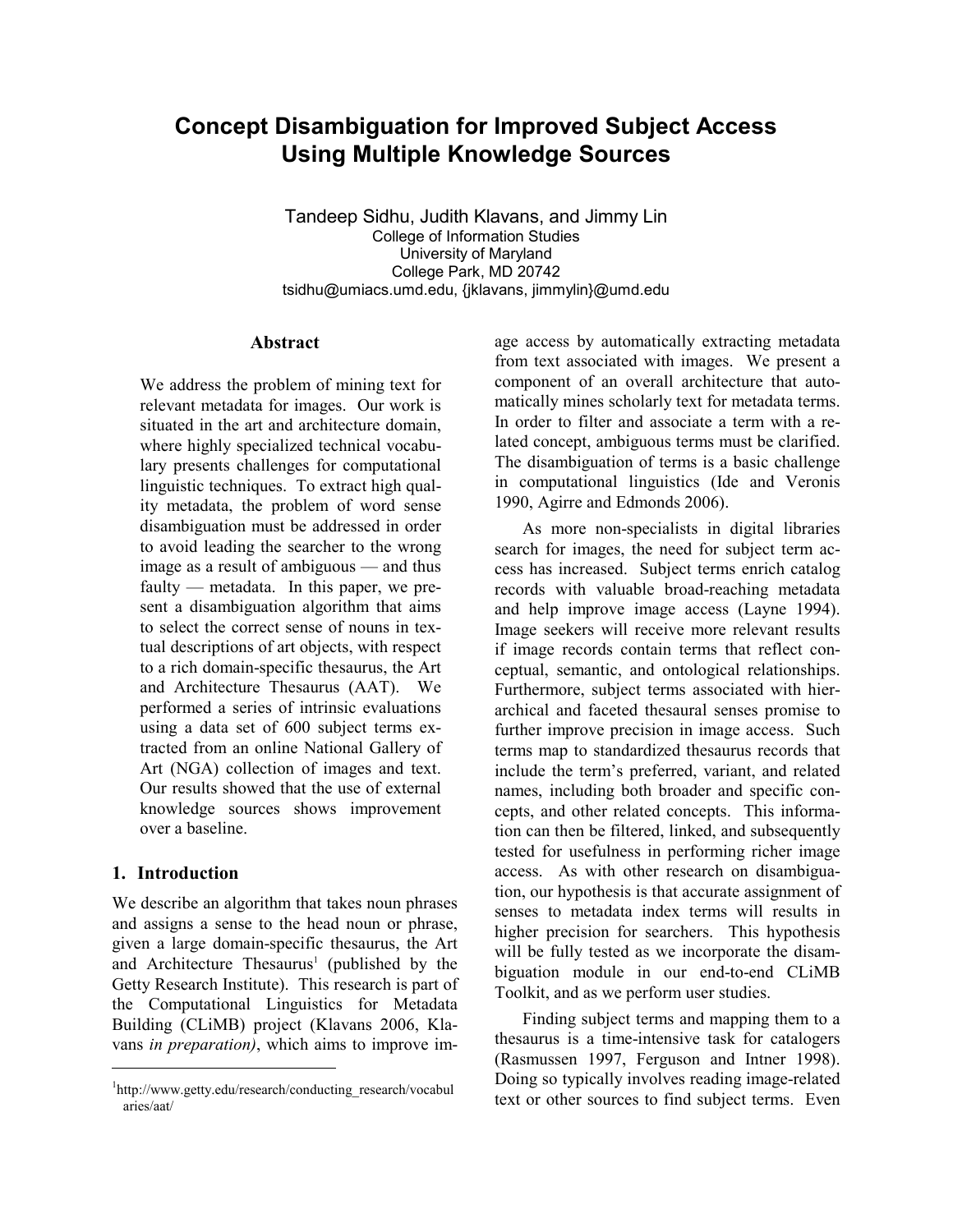# Concept Disambiguation for Improved Subject Access Using Multiple Knowledge Sources

Tandeep Sidhu, Judith Klavans, and Jimmy Lin College of Information Studies University of Maryland College Park, MD 20742 tsidhu@umiacs.umd.edu, {jklavans, jimmylin}@umd.edu

### Abstract

We address the problem of mining text for relevant metadata for images. Our work is situated in the art and architecture domain, where highly specialized technical vocabulary presents challenges for computational linguistic techniques. To extract high quality metadata, the problem of word sense disambiguation must be addressed in order to avoid leading the searcher to the wrong image as a result of ambiguous — and thus faulty — metadata. In this paper, we present a disambiguation algorithm that aims to select the correct sense of nouns in textual descriptions of art objects, with respect to a rich domain-specific thesaurus, the Art and Architecture Thesaurus (AAT). We performed a series of intrinsic evaluations using a data set of 600 subject terms extracted from an online National Gallery of Art (NGA) collection of images and text. Our results showed that the use of external knowledge sources shows improvement over a baseline.

# 1. Introduction

1

We describe an algorithm that takes noun phrases and assigns a sense to the head noun or phrase, given a large domain-specific thesaurus, the Art and Architecture Thesaurus<sup>1</sup> (published by the Getty Research Institute). This research is part of the Computational Linguistics for Metadata Building (CLiMB) project (Klavans 2006, Klavans in preparation), which aims to improve im-

age access by automatically extracting metadata from text associated with images. We present a component of an overall architecture that automatically mines scholarly text for metadata terms. In order to filter and associate a term with a related concept, ambiguous terms must be clarified. The disambiguation of terms is a basic challenge in computational linguistics (Ide and Veronis 1990, Agirre and Edmonds 2006).

As more non-specialists in digital libraries search for images, the need for subject term access has increased. Subject terms enrich catalog records with valuable broad-reaching metadata and help improve image access (Layne 1994). Image seekers will receive more relevant results if image records contain terms that reflect conceptual, semantic, and ontological relationships. Furthermore, subject terms associated with hierarchical and faceted thesaural senses promise to further improve precision in image access. Such terms map to standardized thesaurus records that include the term's preferred, variant, and related names, including both broader and specific concepts, and other related concepts. This information can then be filtered, linked, and subsequently tested for usefulness in performing richer image access. As with other research on disambiguation, our hypothesis is that accurate assignment of senses to metadata index terms will results in higher precision for searchers. This hypothesis will be fully tested as we incorporate the disambiguation module in our end-to-end CLiMB Toolkit, and as we perform user studies.

Finding subject terms and mapping them to a thesaurus is a time-intensive task for catalogers (Rasmussen 1997, Ferguson and Intner 1998). Doing so typically involves reading image-related text or other sources to find subject terms. Even

<sup>1</sup> http://www.getty.edu/research/conducting\_research/vocabul aries/aat/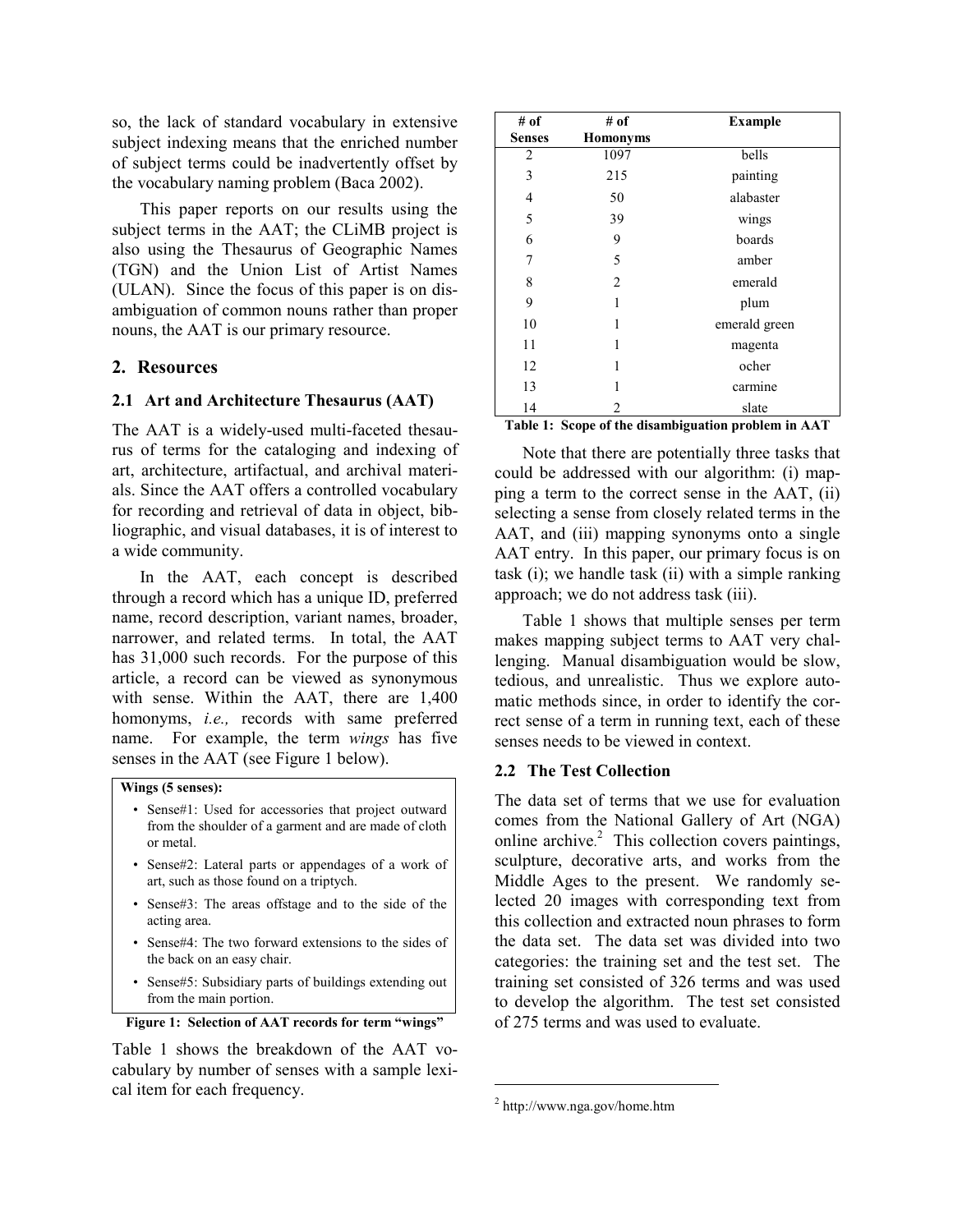so, the lack of standard vocabulary in extensive subject indexing means that the enriched number of subject terms could be inadvertently offset by the vocabulary naming problem (Baca 2002).

This paper reports on our results using the subject terms in the AAT; the CLiMB project is also using the Thesaurus of Geographic Names (TGN) and the Union List of Artist Names (ULAN). Since the focus of this paper is on disambiguation of common nouns rather than proper nouns, the AAT is our primary resource.

# 2. Resources

#### 2.1 Art and Architecture Thesaurus (AAT)

The AAT is a widely-used multi-faceted thesaurus of terms for the cataloging and indexing of art, architecture, artifactual, and archival materials. Since the AAT offers a controlled vocabulary for recording and retrieval of data in object, bibliographic, and visual databases, it is of interest to a wide community.

In the AAT, each concept is described through a record which has a unique ID, preferred name, record description, variant names, broader, narrower, and related terms. In total, the AAT has 31,000 such records. For the purpose of this article, a record can be viewed as synonymous with sense. Within the AAT, there are 1,400 homonyms, i.e., records with same preferred name. For example, the term wings has five senses in the AAT (see Figure 1 below).

### Wings (5 senses):

- Sense#1: Used for accessories that project outward from the shoulder of a garment and are made of cloth or metal.
- Sense#2: Lateral parts or appendages of a work of art, such as those found on a triptych.
- Sense#3: The areas offstage and to the side of the acting area.
- Sense#4: The two forward extensions to the sides of the back on an easy chair.
- Sense#5: Subsidiary parts of buildings extending out from the main portion.

```
Figure 1: Selection of AAT records for term "wings"
```
Table 1 shows the breakdown of the AAT vocabulary by number of senses with a sample lexical item for each frequency.

| # of           | # of            | <b>Example</b> |  |  |
|----------------|-----------------|----------------|--|--|
| <b>Senses</b>  | <b>Homonyms</b> |                |  |  |
| $\overline{2}$ | 1097            | bells          |  |  |
| 3              | 215             | painting       |  |  |
| 4              | 50              | alabaster      |  |  |
| 5              | 39              | wings          |  |  |
| 6              | 9               | boards         |  |  |
| 7              | 5               | amber          |  |  |
| 8              | $\overline{c}$  | emerald        |  |  |
| 9              | 1               | plum           |  |  |
| 10             | 1               | emerald green  |  |  |
| 11             | 1               | magenta        |  |  |
| 12             | 1               | ocher          |  |  |
| 13             | 1               | carmine        |  |  |
| 14<br>-        | 2               | slate          |  |  |

Table 1: Scope of the disambiguation problem in AAT

Note that there are potentially three tasks that could be addressed with our algorithm: (i) mapping a term to the correct sense in the AAT, (ii) selecting a sense from closely related terms in the AAT, and (iii) mapping synonyms onto a single AAT entry. In this paper, our primary focus is on task  $(i)$ ; we handle task  $(ii)$  with a simple ranking approach; we do not address task (iii).

Table 1 shows that multiple senses per term makes mapping subject terms to AAT very challenging. Manual disambiguation would be slow, tedious, and unrealistic. Thus we explore automatic methods since, in order to identify the correct sense of a term in running text, each of these senses needs to be viewed in context.

### 2.2 The Test Collection

The data set of terms that we use for evaluation comes from the National Gallery of Art (NGA) online archive. 2 This collection covers paintings, sculpture, decorative arts, and works from the Middle Ages to the present. We randomly selected 20 images with corresponding text from this collection and extracted noun phrases to form the data set. The data set was divided into two categories: the training set and the test set. The training set consisted of 326 terms and was used to develop the algorithm. The test set consisted of 275 terms and was used to evaluate.

1

<sup>2</sup> http://www.nga.gov/home.htm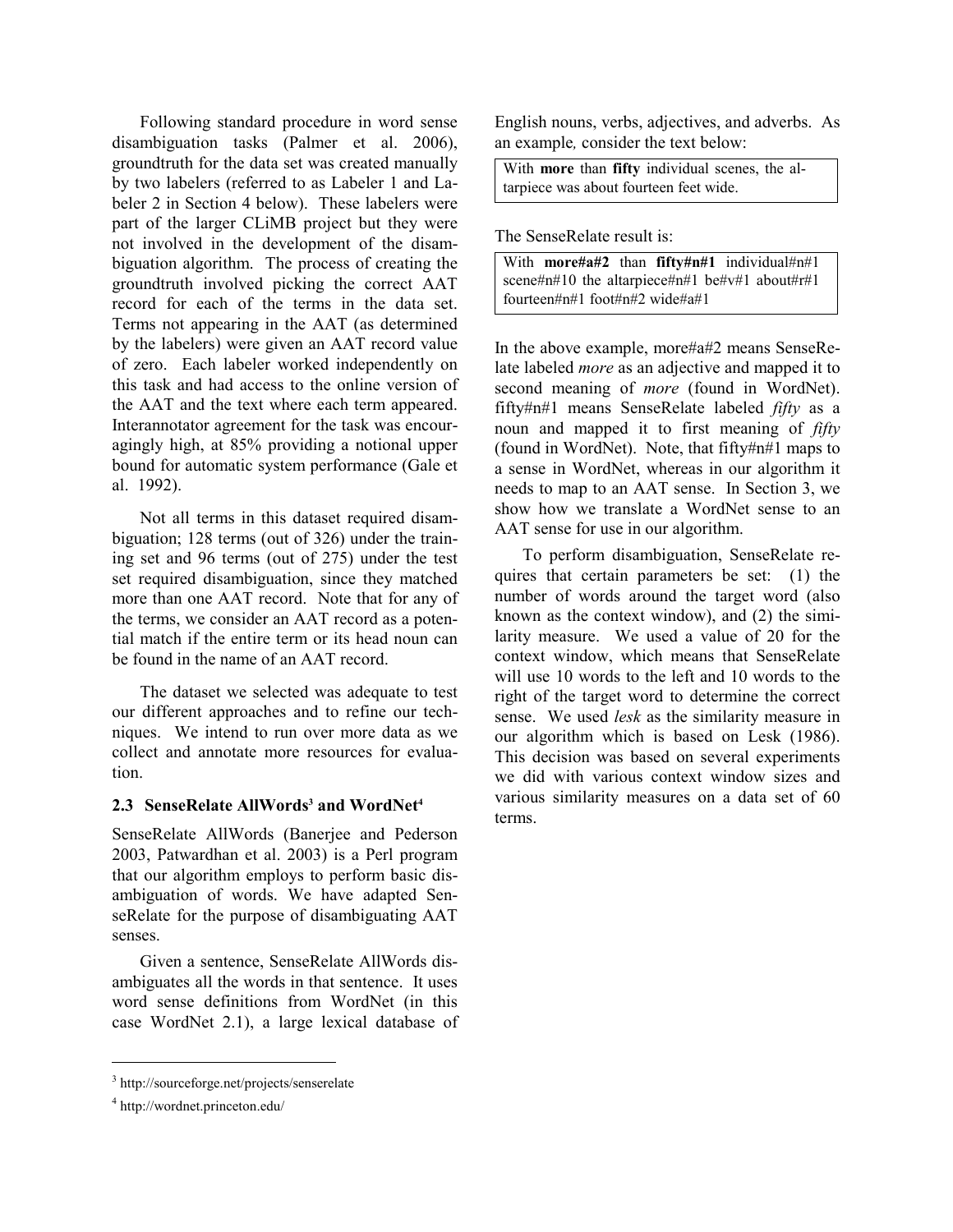Following standard procedure in word sense disambiguation tasks (Palmer et al. 2006), groundtruth for the data set was created manually by two labelers (referred to as Labeler 1 and Labeler 2 in Section 4 below). These labelers were part of the larger CLiMB project but they were not involved in the development of the disambiguation algorithm. The process of creating the groundtruth involved picking the correct AAT record for each of the terms in the data set. Terms not appearing in the AAT (as determined by the labelers) were given an AAT record value of zero. Each labeler worked independently on this task and had access to the online version of the AAT and the text where each term appeared. Interannotator agreement for the task was encouragingly high, at 85% providing a notional upper bound for automatic system performance (Gale et al. 1992).

Not all terms in this dataset required disambiguation; 128 terms (out of 326) under the training set and 96 terms (out of 275) under the test set required disambiguation, since they matched more than one AAT record. Note that for any of the terms, we consider an AAT record as a potential match if the entire term or its head noun can be found in the name of an AAT record.

The dataset we selected was adequate to test our different approaches and to refine our techniques. We intend to run over more data as we collect and annotate more resources for evaluation.

# 2.3 SenseRelate AllWords<sup>3</sup> and WordNet<sup>4</sup>

SenseRelate AllWords (Banerjee and Pederson 2003, Patwardhan et al. 2003) is a Perl program that our algorithm employs to perform basic disambiguation of words. We have adapted SenseRelate for the purpose of disambiguating AAT senses.

Given a sentence, SenseRelate AllWords disambiguates all the words in that sentence. It uses word sense definitions from WordNet (in this case WordNet 2.1), a large lexical database of

1

English nouns, verbs, adjectives, and adverbs. As an example, consider the text below:

With more than fifty individual scenes, the altarpiece was about fourteen feet wide.

The SenseRelate result is:

| With <b>more#a#2</b> than $fifty\#n#1$ individual#n#1 |  |  |  |  |
|-------------------------------------------------------|--|--|--|--|
| scene#n#10 the altarpiece#n#1 be#v#1 about#r#1        |  |  |  |  |
| fourteen#n#1 foot#n#2 wide#a#1                        |  |  |  |  |

In the above example, more#a#2 means SenseRelate labeled more as an adjective and mapped it to second meaning of *more* (found in WordNet). fifty#n#1 means SenseRelate labeled fifty as a noun and mapped it to first meaning of *fifty* (found in WordNet). Note, that fifty#n#1 maps to a sense in WordNet, whereas in our algorithm it needs to map to an AAT sense. In Section 3, we show how we translate a WordNet sense to an AAT sense for use in our algorithm.

To perform disambiguation, SenseRelate requires that certain parameters be set: (1) the number of words around the target word (also known as the context window), and (2) the similarity measure. We used a value of 20 for the context window, which means that SenseRelate will use 10 words to the left and 10 words to the right of the target word to determine the correct sense. We used *lesk* as the similarity measure in our algorithm which is based on Lesk (1986). This decision was based on several experiments we did with various context window sizes and various similarity measures on a data set of 60 terms.

<sup>3</sup> http://sourceforge.net/projects/senserelate

<sup>4</sup> http://wordnet.princeton.edu/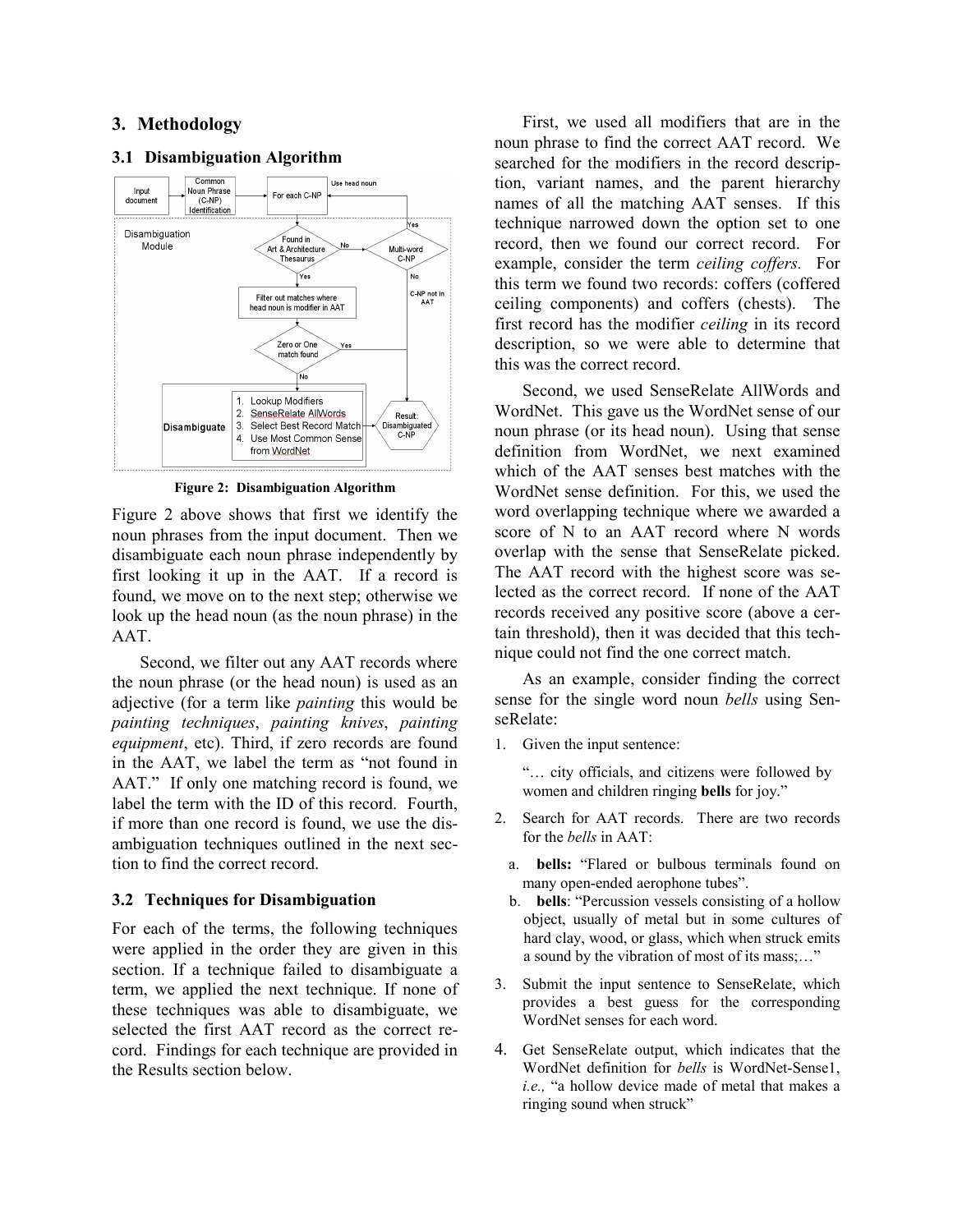# 3. Methodology

#### Common Use head noun Input Noun Phrase For each C-NP  $(C-NP)$ document Identification Disambiguation Found in Module Art & Architecture Thesaurus  $C-NP$  $\widetilde{\mathsf{Yes}}$ Filter out matches where head noun is modifier in AAT Zero or One match found Ño

#### 3.1 Disambiguation Algorithm



Figure 2 above shows that first we identify the noun phrases from the input document. Then we disambiguate each noun phrase independently by first looking it up in the AAT. If a record is found, we move on to the next step; otherwise we look up the head noun (as the noun phrase) in the AAT.

Second, we filter out any AAT records where the noun phrase (or the head noun) is used as an adjective (for a term like painting this would be painting techniques, painting knives, painting equipment, etc). Third, if zero records are found in the AAT, we label the term as "not found in AAT." If only one matching record is found, we label the term with the ID of this record. Fourth, if more than one record is found, we use the disambiguation techniques outlined in the next section to find the correct record.

#### 3.2 Techniques for Disambiguation

For each of the terms, the following techniques were applied in the order they are given in this section. If a technique failed to disambiguate a term, we applied the next technique. If none of these techniques was able to disambiguate, we selected the first AAT record as the correct record. Findings for each technique are provided in the Results section below.

First, we used all modifiers that are in the noun phrase to find the correct AAT record. We searched for the modifiers in the record description, variant names, and the parent hierarchy names of all the matching AAT senses. If this technique narrowed down the option set to one record, then we found our correct record. For example, consider the term ceiling coffers. For this term we found two records: coffers (coffered ceiling components) and coffers (chests). The first record has the modifier ceiling in its record description, so we were able to determine that this was the correct record.

Second, we used SenseRelate AllWords and WordNet. This gave us the WordNet sense of our noun phrase (or its head noun). Using that sense definition from WordNet, we next examined which of the AAT senses best matches with the WordNet sense definition. For this, we used the word overlapping technique where we awarded a score of N to an AAT record where N words overlap with the sense that SenseRelate picked. The AAT record with the highest score was selected as the correct record. If none of the AAT records received any positive score (above a certain threshold), then it was decided that this technique could not find the one correct match.

As an example, consider finding the correct sense for the single word noun bells using SenseRelate:

1. Given the input sentence:

"… city officials, and citizens were followed by women and children ringing bells for joy."

- 2. Search for AAT records. There are two records for the bells in AAT:
	- a. bells: "Flared or bulbous terminals found on many open-ended aerophone tubes".
	- b. bells: "Percussion vessels consisting of a hollow object, usually of metal but in some cultures of hard clay, wood, or glass, which when struck emits a sound by the vibration of most of its mass;…"
- 3. Submit the input sentence to SenseRelate, which provides a best guess for the corresponding WordNet senses for each word.
- 4. Get SenseRelate output, which indicates that the WordNet definition for bells is WordNet-Sense1, i.e., "a hollow device made of metal that makes a ringing sound when struck"

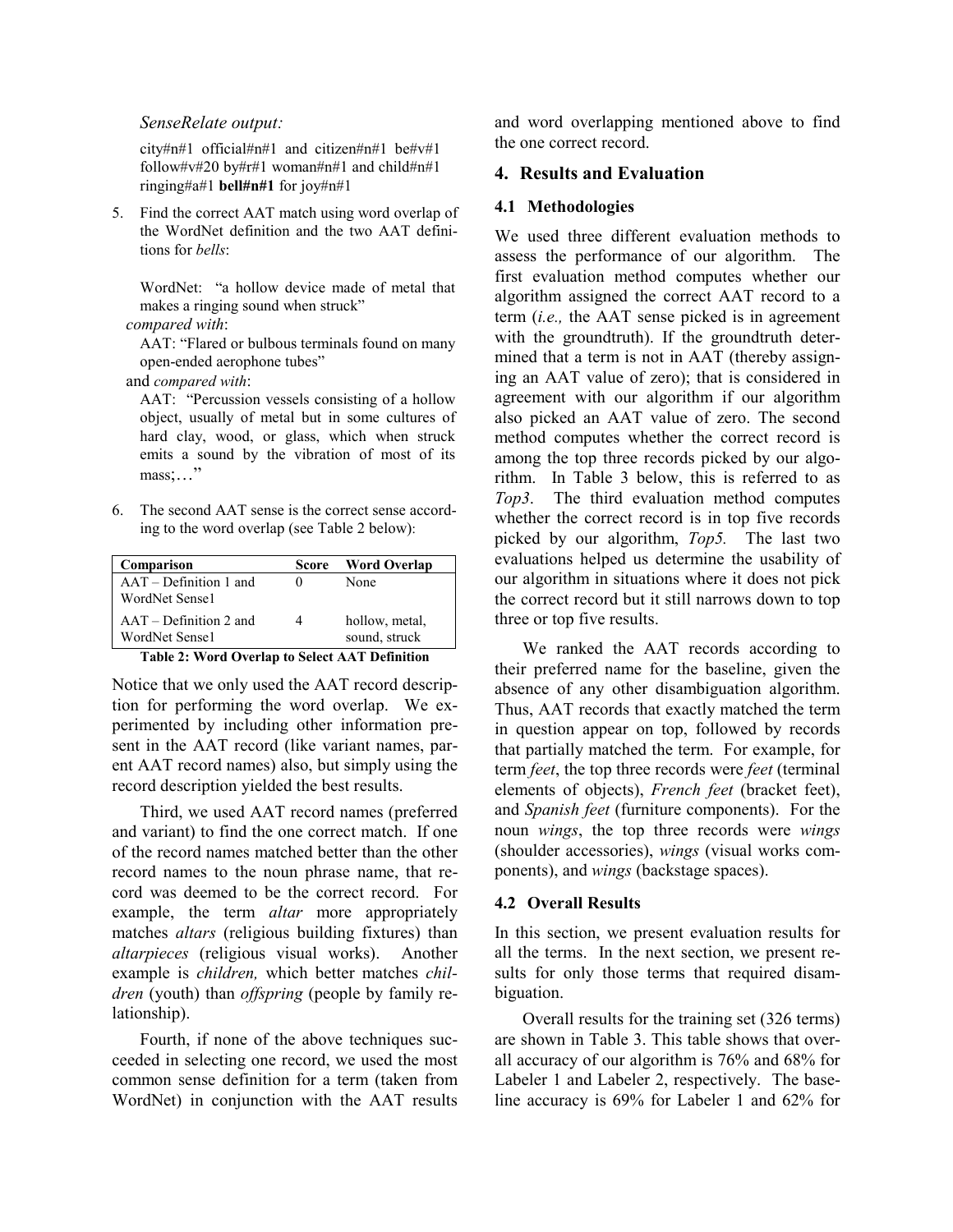# SenseRelate output:

city#n#1 official#n#1 and citizen#n#1 be#v#1 follow#v#20 by#r#1 woman#n#1 and child#n#1 ringing#a#1 bell#n#1 for joy#n#1

5. Find the correct AAT match using word overlap of the WordNet definition and the two AAT definitions for bells:

WordNet: "a hollow device made of metal that makes a ringing sound when struck"

### compared with:

AAT: "Flared or bulbous terminals found on many open-ended aerophone tubes"

and compared with:

AAT: "Percussion vessels consisting of a hollow object, usually of metal but in some cultures of hard clay, wood, or glass, which when struck emits a sound by the vibration of most of its mass;…"

6. The second AAT sense is the correct sense according to the word overlap (see Table 2 below):

| Comparison                                 | Score | <b>Word Overlap</b>             |
|--------------------------------------------|-------|---------------------------------|
| $AAT - Definition 1$ and<br>WordNet Sense1 |       | None                            |
| $AAT - Definition 2$ and<br>WordNet Sense1 |       | hollow, metal,<br>sound, struck |

#### Table 2: Word Overlap to Select AAT Definition

Notice that we only used the AAT record description for performing the word overlap. We experimented by including other information present in the AAT record (like variant names, parent AAT record names) also, but simply using the record description yielded the best results.

Third, we used AAT record names (preferred and variant) to find the one correct match. If one of the record names matched better than the other record names to the noun phrase name, that record was deemed to be the correct record. For example, the term *altar* more appropriately matches altars (religious building fixtures) than altarpieces (religious visual works). Another example is children, which better matches children (youth) than *offspring* (people by family relationship).

Fourth, if none of the above techniques succeeded in selecting one record, we used the most common sense definition for a term (taken from WordNet) in conjunction with the AAT results

and word overlapping mentioned above to find the one correct record.

### 4. Results and Evaluation

#### 4.1 Methodologies

We used three different evaluation methods to assess the performance of our algorithm. The first evaluation method computes whether our algorithm assigned the correct AAT record to a term (i.e., the AAT sense picked is in agreement with the groundtruth). If the groundtruth determined that a term is not in AAT (thereby assigning an AAT value of zero); that is considered in agreement with our algorithm if our algorithm also picked an AAT value of zero. The second method computes whether the correct record is among the top three records picked by our algorithm. In Table 3 below, this is referred to as Top3. The third evaluation method computes whether the correct record is in top five records picked by our algorithm, Top5. The last two evaluations helped us determine the usability of our algorithm in situations where it does not pick the correct record but it still narrows down to top three or top five results.

We ranked the AAT records according to their preferred name for the baseline, given the absence of any other disambiguation algorithm. Thus, AAT records that exactly matched the term in question appear on top, followed by records that partially matched the term. For example, for term *feet*, the top three records were *feet* (terminal elements of objects), French feet (bracket feet), and Spanish feet (furniture components). For the noun wings, the top three records were wings (shoulder accessories), wings (visual works components), and wings (backstage spaces).

#### 4.2 Overall Results

In this section, we present evaluation results for all the terms. In the next section, we present results for only those terms that required disambiguation.

Overall results for the training set (326 terms) are shown in Table 3. This table shows that overall accuracy of our algorithm is 76% and 68% for Labeler 1 and Labeler 2, respectively. The baseline accuracy is 69% for Labeler 1 and 62% for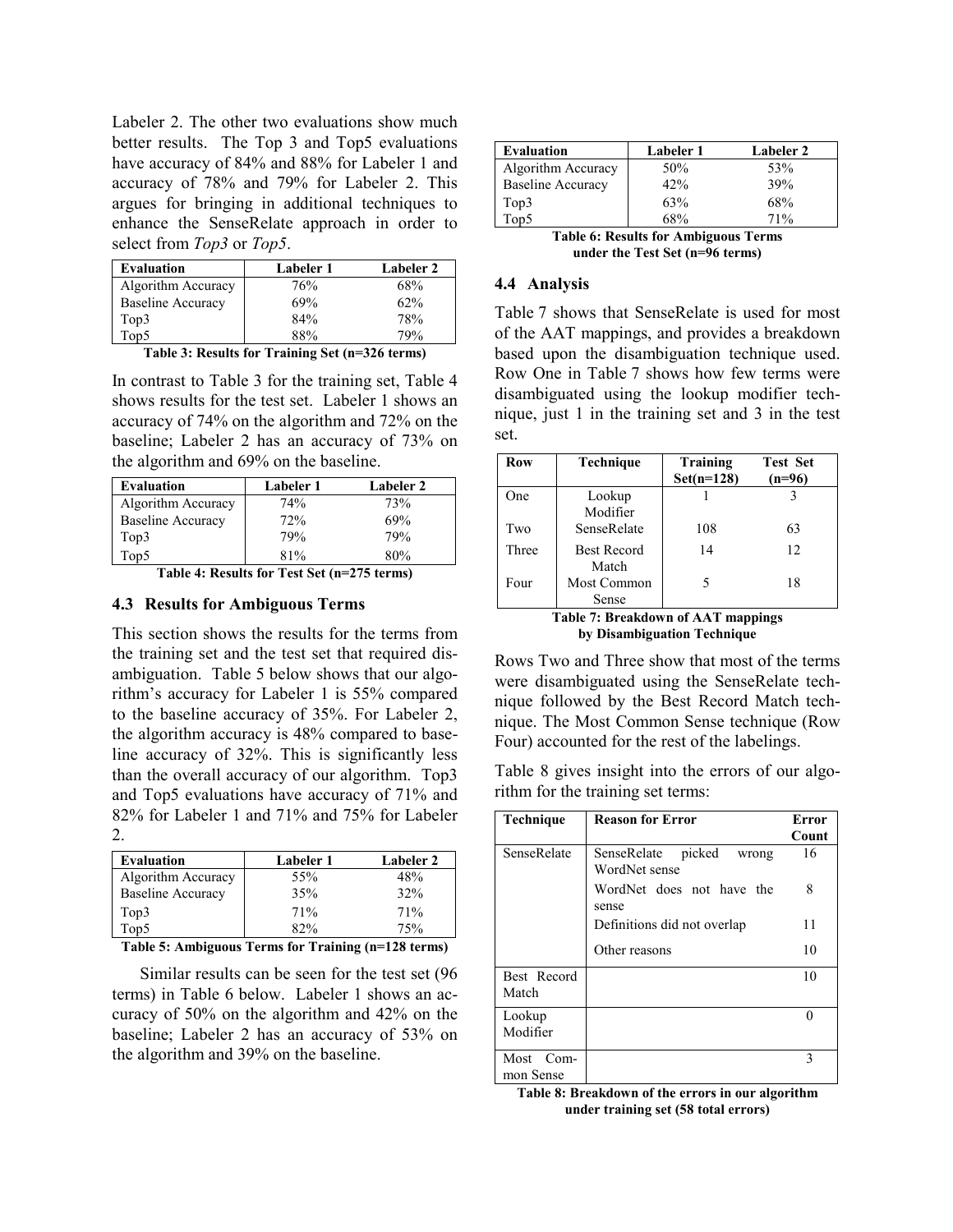Labeler 2. The other two evaluations show much better results. The Top 3 and Top5 evaluations have accuracy of 84% and 88% for Labeler 1 and accuracy of 78% and 79% for Labeler 2. This argues for bringing in additional techniques to enhance the SenseRelate approach in order to select from Top3 or Top5.

| <b>Evaluation</b>        | Labeler 1 | Labeler 2 |  |
|--------------------------|-----------|-----------|--|
| Algorithm Accuracy       | 76%       | 68%       |  |
| Baseline Accuracy        | 69%       | 62%       |  |
| Top3                     | 84%       | 78%       |  |
| $\overline{\text{Top5}}$ | 88%       | 79%       |  |

|  |  |  | Table 3: Results for Training Set (n=326 terms) |  |  |  |
|--|--|--|-------------------------------------------------|--|--|--|
|--|--|--|-------------------------------------------------|--|--|--|

In contrast to Table 3 for the training set, Table 4 shows results for the test set. Labeler 1 shows an accuracy of 74% on the algorithm and 72% on the baseline; Labeler 2 has an accuracy of 73% on the algorithm and 69% on the baseline.

| Evaluation               | Labeler 1 | Labeler 2 |
|--------------------------|-----------|-----------|
| Algorithm Accuracy       | 74%       | 73%       |
| <b>Baseline Accuracy</b> | 72%       | 69%       |
| Top3                     | 79%       | 79%       |
| Top5                     | 81%       | 80%       |

Table 4: Results for Test Set (n=275 terms)

#### 4.3 Results for Ambiguous Terms

This section shows the results for the terms from the training set and the test set that required disambiguation. Table 5 below shows that our algorithm's accuracy for Labeler 1 is 55% compared to the baseline accuracy of 35%. For Labeler 2, the algorithm accuracy is 48% compared to baseline accuracy of 32%. This is significantly less than the overall accuracy of our algorithm. Top3 and Top5 evaluations have accuracy of 71% and 82% for Labeler 1 and 71% and 75% for Labeler 2.

| <b>Evaluation</b>        | Labeler 1 | Labeler 2 |  |
|--------------------------|-----------|-----------|--|
| Algorithm Accuracy       | 55%       | 48%       |  |
| <b>Baseline Accuracy</b> | 35%       | 32%       |  |
| Top3                     | 71%       | 71%       |  |
| Top5                     | 82%       | 75%       |  |

Table 5: Ambiguous Terms for Training (n=128 terms)

Similar results can be seen for the test set (96 terms) in Table 6 below. Labeler 1 shows an accuracy of 50% on the algorithm and 42% on the baseline; Labeler 2 has an accuracy of 53% on the algorithm and 39% on the baseline.

| Evaluation               | Labeler 1 | Labeler 2 |
|--------------------------|-----------|-----------|
| Algorithm Accuracy       | 50%       | 53%       |
| <b>Baseline Accuracy</b> | 42%       | 39%       |
| Top3                     | 63%       | 68%       |
| $\overline{\text{Top5}}$ | 68%       | 71%       |

Table 6: Results for Ambiguous Terms under the Test Set (n=96 terms)

#### 4.4 Analysis

Table 7 shows that SenseRelate is used for most of the AAT mappings, and provides a breakdown based upon the disambiguation technique used. Row One in Table 7 shows how few terms were disambiguated using the lookup modifier technique, just 1 in the training set and 3 in the test set.

| <b>Row</b>                                | <b>Technique</b>   | Training<br>$Set(n=128)$ | <b>Test Set</b><br>$(n=96)$ |  |
|-------------------------------------------|--------------------|--------------------------|-----------------------------|--|
| One                                       | Lookup             |                          |                             |  |
|                                           | Modifier           |                          |                             |  |
| Two                                       | SenseRelate        | 108                      | 63                          |  |
| Three                                     | <b>Best Record</b> | 14                       | 12                          |  |
|                                           | Match              |                          |                             |  |
| Four                                      | Most Common        | 5                        | 18                          |  |
|                                           | Sense              |                          |                             |  |
| <b>Table 7: Breakdown of AAT mappings</b> |                    |                          |                             |  |

by Disambiguation Technique

Rows Two and Three show that most of the terms were disambiguated using the SenseRelate technique followed by the Best Record Match technique. The Most Common Sense technique (Row Four) accounted for the rest of the labelings.

Table 8 gives insight into the errors of our algorithm for the training set terms:

| Technique              | <b>Reason for Error</b>                         | Error |
|------------------------|-------------------------------------------------|-------|
|                        |                                                 | Count |
| SenseRelate            | picked<br>SenseRelate<br>wrong<br>WordNet sense | 16    |
|                        | WordNet does not have the<br>sense              | 8     |
|                        | Definitions did not overlap                     | 11    |
|                        | Other reasons                                   | 10    |
| Best Record<br>Match   |                                                 | 10    |
| Lookup<br>Modifier     |                                                 | 0     |
| Most Com-<br>mon Sense |                                                 | 3     |

Table 8: Breakdown of the errors in our algorithm under training set (58 total errors)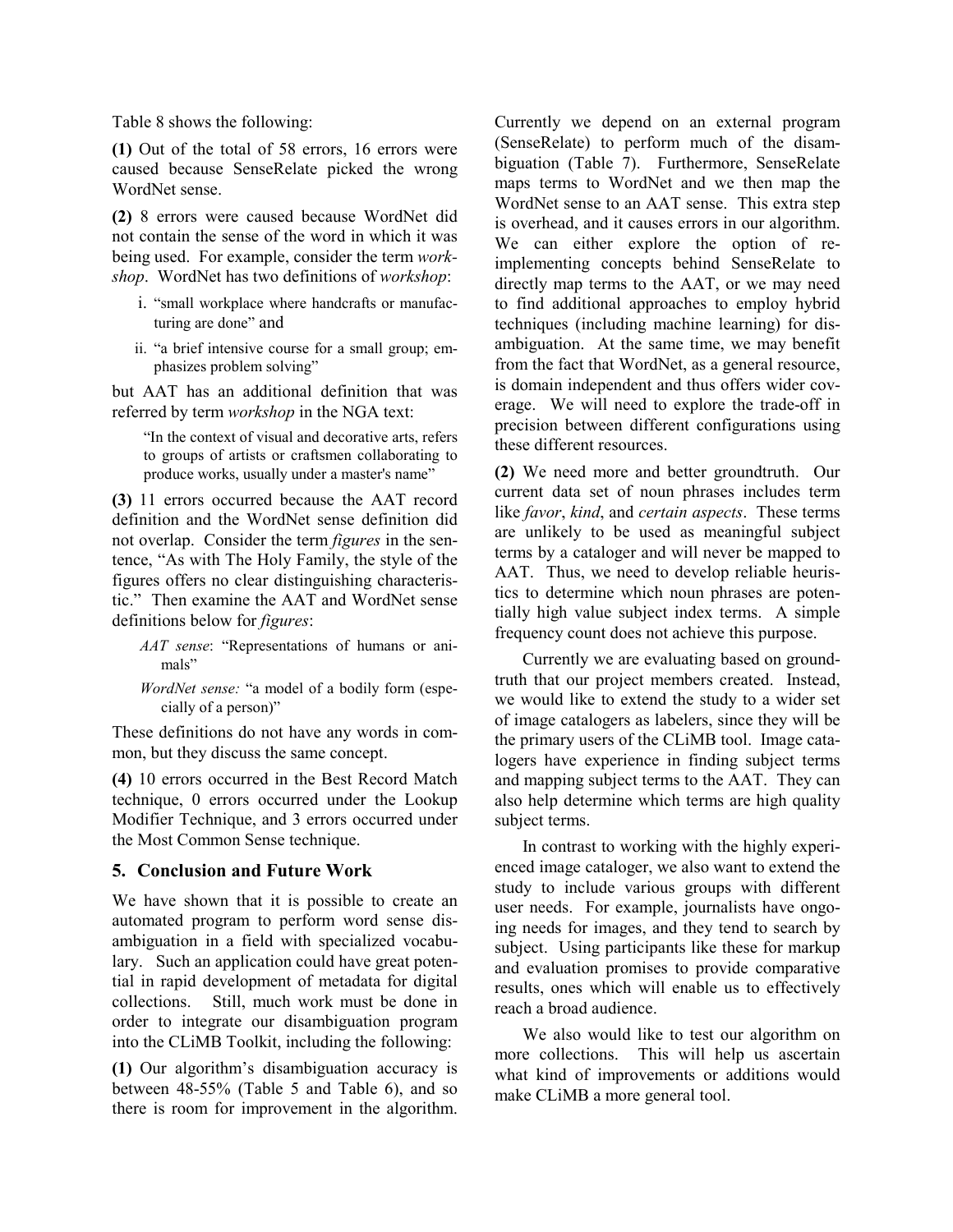Table 8 shows the following:

(1) Out of the total of 58 errors, 16 errors were caused because SenseRelate picked the wrong WordNet sense.

(2) 8 errors were caused because WordNet did not contain the sense of the word in which it was being used. For example, consider the term workshop. WordNet has two definitions of workshop:

- i. "small workplace where handcrafts or manufacturing are done" and
- ii. "a brief intensive course for a small group; emphasizes problem solving"

but AAT has an additional definition that was referred by term workshop in the NGA text:

"In the context of visual and decorative arts, refers to groups of artists or craftsmen collaborating to produce works, usually under a master's name"

(3) 11 errors occurred because the AAT record definition and the WordNet sense definition did not overlap. Consider the term figures in the sentence, "As with The Holy Family, the style of the figures offers no clear distinguishing characteristic." Then examine the AAT and WordNet sense definitions below for figures:

AAT sense: "Representations of humans or animals"

WordNet sense: "a model of a bodily form (especially of a person)"

These definitions do not have any words in common, but they discuss the same concept.

(4) 10 errors occurred in the Best Record Match technique, 0 errors occurred under the Lookup Modifier Technique, and 3 errors occurred under the Most Common Sense technique.

# 5. Conclusion and Future Work

We have shown that it is possible to create an automated program to perform word sense disambiguation in a field with specialized vocabulary. Such an application could have great potential in rapid development of metadata for digital collections. Still, much work must be done in order to integrate our disambiguation program into the CLiMB Toolkit, including the following:

(1) Our algorithm's disambiguation accuracy is between 48-55% (Table 5 and Table 6), and so there is room for improvement in the algorithm.

Currently we depend on an external program (SenseRelate) to perform much of the disambiguation (Table 7). Furthermore, SenseRelate maps terms to WordNet and we then map the WordNet sense to an AAT sense. This extra step is overhead, and it causes errors in our algorithm. We can either explore the option of reimplementing concepts behind SenseRelate to directly map terms to the AAT, or we may need to find additional approaches to employ hybrid techniques (including machine learning) for disambiguation. At the same time, we may benefit from the fact that WordNet, as a general resource, is domain independent and thus offers wider coverage. We will need to explore the trade-off in precision between different configurations using these different resources.

(2) We need more and better groundtruth. Our current data set of noun phrases includes term like favor, kind, and certain aspects. These terms are unlikely to be used as meaningful subject terms by a cataloger and will never be mapped to AAT. Thus, we need to develop reliable heuristics to determine which noun phrases are potentially high value subject index terms. A simple frequency count does not achieve this purpose.

Currently we are evaluating based on groundtruth that our project members created. Instead, we would like to extend the study to a wider set of image catalogers as labelers, since they will be the primary users of the CLiMB tool. Image catalogers have experience in finding subject terms and mapping subject terms to the AAT. They can also help determine which terms are high quality subject terms.

In contrast to working with the highly experienced image cataloger, we also want to extend the study to include various groups with different user needs. For example, journalists have ongoing needs for images, and they tend to search by subject. Using participants like these for markup and evaluation promises to provide comparative results, ones which will enable us to effectively reach a broad audience.

We also would like to test our algorithm on more collections. This will help us ascertain what kind of improvements or additions would make CLiMB a more general tool.